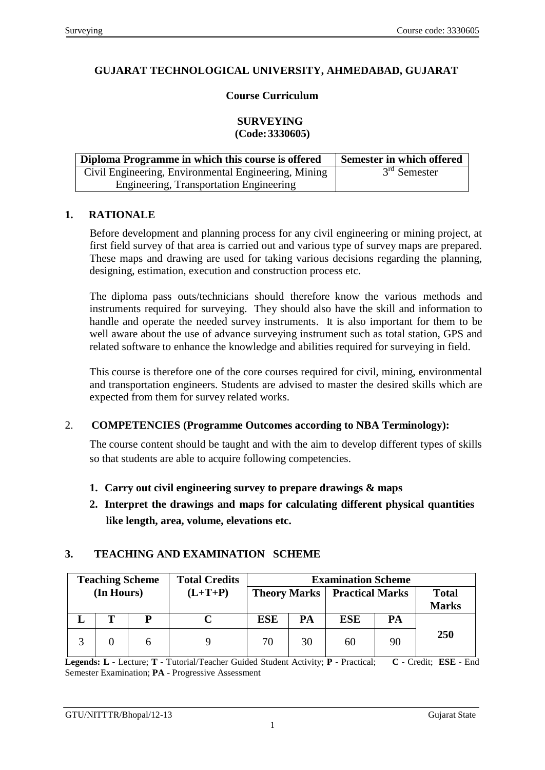# **GUJARAT TECHNOLOGICAL UNIVERSITY, AHMEDABAD, GUJARAT**

### **Course Curriculum**

#### **SURVEYING (Code:3330605)**

| Diploma Programme in which this course is offered    | Semester in which offered |
|------------------------------------------------------|---------------------------|
| Civil Engineering, Environmental Engineering, Mining | $3rd$ Semester            |
| Engineering, Transportation Engineering              |                           |

#### **1. RATIONALE**

Before development and planning process for any civil engineering or mining project, at first field survey of that area is carried out and various type of survey maps are prepared. These maps and drawing are used for taking various decisions regarding the planning, designing, estimation, execution and construction process etc.

The diploma pass outs/technicians should therefore know the various methods and instruments required for surveying. They should also have the skill and information to handle and operate the needed survey instruments. It is also important for them to be well aware about the use of advance surveying instrument such as total station, GPS and related software to enhance the knowledge and abilities required for surveying in field.

This course is therefore one of the core courses required for civil, mining, environmental and transportation engineers. Students are advised to master the desired skills which are expected from them for survey related works.

### 2. **COMPETENCIES (Programme Outcomes according to NBA Terminology):**

The course content should be taught and with the aim to develop different types of skills so that students are able to acquire following competencies.

- **1. Carry out civil engineering survey to prepare drawings & maps**
- **2. Interpret the drawings and maps for calculating different physical quantities like length, area, volume, elevations etc.**

### **3. TEACHING AND EXAMINATION SCHEME**

|                              | <b>Examination Scheme</b> |                        |                     | <b>Total Credits</b> | <b>Teaching Scheme</b> |            |   |  |
|------------------------------|---------------------------|------------------------|---------------------|----------------------|------------------------|------------|---|--|
| <b>Total</b><br><b>Marks</b> |                           | <b>Practical Marks</b> | <b>Theory Marks</b> |                      | $(L+T+P)$              | (In Hours) |   |  |
|                              | PA                        | <b>ESE</b>             | PA                  | <b>ESE</b>           |                        |            | Т |  |
| 250                          | 90                        | 60                     | 30                  | 70                   |                        |            |   |  |

**Legends: L -** Lecture; **T -** Tutorial/Teacher Guided Student Activity; **P -** Practical; **C -** Credit; **ESE** - End Semester Examination; **PA** - Progressive Assessment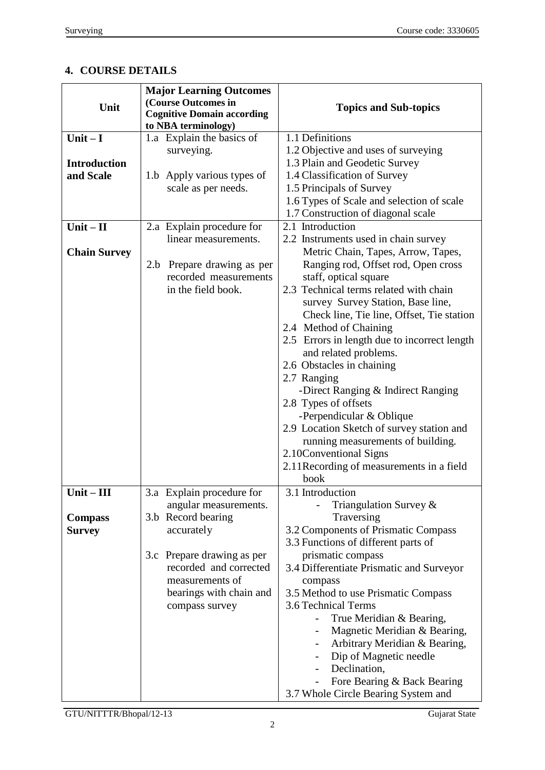# **4. COURSE DETAILS**

| Unit                | <b>Major Learning Outcomes</b><br>(Course Outcomes in<br><b>Cognitive Domain according</b><br>to NBA terminology) | <b>Topics and Sub-topics</b>                                 |  |  |
|---------------------|-------------------------------------------------------------------------------------------------------------------|--------------------------------------------------------------|--|--|
| Unit $-I$           | 1.a Explain the basics of                                                                                         | 1.1 Definitions                                              |  |  |
|                     | surveying.                                                                                                        | 1.2 Objective and uses of surveying                          |  |  |
| <b>Introduction</b> |                                                                                                                   | 1.3 Plain and Geodetic Survey                                |  |  |
| and Scale           | 1.b Apply various types of                                                                                        | 1.4 Classification of Survey                                 |  |  |
|                     | scale as per needs.                                                                                               | 1.5 Principals of Survey                                     |  |  |
|                     |                                                                                                                   | 1.6 Types of Scale and selection of scale                    |  |  |
|                     |                                                                                                                   | 1.7 Construction of diagonal scale                           |  |  |
| $Unit - II$         | 2.a Explain procedure for                                                                                         | 2.1 Introduction                                             |  |  |
|                     | linear measurements.                                                                                              | 2.2 Instruments used in chain survey                         |  |  |
| <b>Chain Survey</b> |                                                                                                                   | Metric Chain, Tapes, Arrow, Tapes,                           |  |  |
|                     | 2.b<br>Prepare drawing as per                                                                                     | Ranging rod, Offset rod, Open cross                          |  |  |
|                     | recorded measurements                                                                                             | staff, optical square                                        |  |  |
|                     | in the field book.                                                                                                | 2.3 Technical terms related with chain                       |  |  |
|                     |                                                                                                                   | survey Survey Station, Base line,                            |  |  |
|                     |                                                                                                                   | Check line, Tie line, Offset, Tie station                    |  |  |
|                     |                                                                                                                   | 2.4 Method of Chaining                                       |  |  |
|                     |                                                                                                                   | 2.5 Errors in length due to incorrect length                 |  |  |
|                     |                                                                                                                   | and related problems.                                        |  |  |
|                     |                                                                                                                   | 2.6 Obstacles in chaining                                    |  |  |
|                     |                                                                                                                   | 2.7 Ranging                                                  |  |  |
|                     |                                                                                                                   | -Direct Ranging & Indirect Ranging                           |  |  |
|                     |                                                                                                                   | 2.8 Types of offsets                                         |  |  |
|                     |                                                                                                                   | -Perpendicular & Oblique                                     |  |  |
|                     |                                                                                                                   | 2.9 Location Sketch of survey station and                    |  |  |
|                     |                                                                                                                   | running measurements of building.<br>2.10 Conventional Signs |  |  |
|                     |                                                                                                                   | 2.11 Recording of measurements in a field                    |  |  |
|                     |                                                                                                                   | book                                                         |  |  |
| Unit -<br>- III     | 3.a Explain procedure for                                                                                         | 3.1 Introduction                                             |  |  |
|                     | angular measurements.                                                                                             | Triangulation Survey &                                       |  |  |
| <b>Compass</b>      | 3.b Record bearing                                                                                                | Traversing                                                   |  |  |
| <b>Survey</b>       | accurately                                                                                                        | 3.2 Components of Prismatic Compass                          |  |  |
|                     |                                                                                                                   | 3.3 Functions of different parts of                          |  |  |
|                     | 3.c Prepare drawing as per                                                                                        | prismatic compass                                            |  |  |
|                     | recorded and corrected                                                                                            | 3.4 Differentiate Prismatic and Surveyor                     |  |  |
|                     | measurements of                                                                                                   | compass                                                      |  |  |
|                     | bearings with chain and                                                                                           | 3.5 Method to use Prismatic Compass                          |  |  |
|                     | compass survey                                                                                                    | 3.6 Technical Terms                                          |  |  |
|                     |                                                                                                                   | True Meridian & Bearing,<br>$\overline{\phantom{0}}$         |  |  |
|                     |                                                                                                                   | Magnetic Meridian & Bearing,                                 |  |  |
|                     |                                                                                                                   | Arbitrary Meridian & Bearing,                                |  |  |
|                     |                                                                                                                   | Dip of Magnetic needle<br>$\overline{\phantom{a}}$           |  |  |
|                     |                                                                                                                   | Declination,                                                 |  |  |
|                     |                                                                                                                   | Fore Bearing & Back Bearing                                  |  |  |
|                     |                                                                                                                   | 3.7 Whole Circle Bearing System and                          |  |  |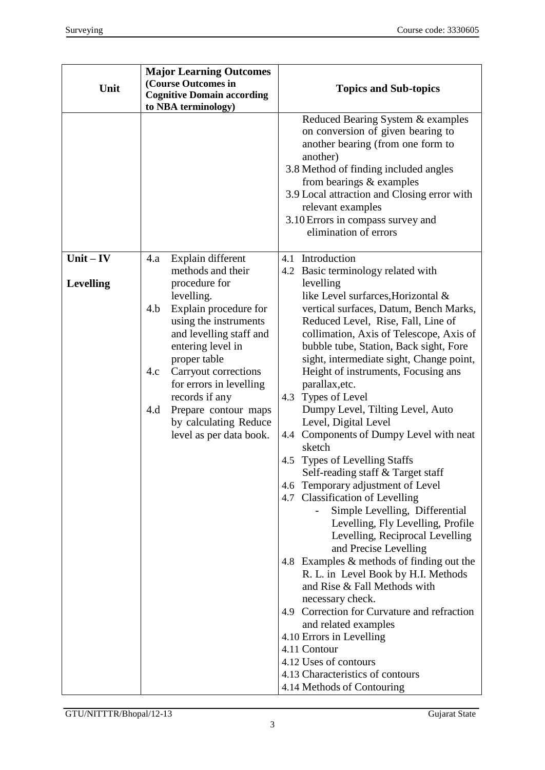| Unit             | <b>Major Learning Outcomes</b><br>(Course Outcomes in<br><b>Cognitive Domain according</b><br>to NBA terminology)     | <b>Topics and Sub-topics</b>                                                                                                                                                                                                                                                                                                     |
|------------------|-----------------------------------------------------------------------------------------------------------------------|----------------------------------------------------------------------------------------------------------------------------------------------------------------------------------------------------------------------------------------------------------------------------------------------------------------------------------|
|                  |                                                                                                                       | Reduced Bearing System & examples<br>on conversion of given bearing to<br>another bearing (from one form to<br>another)<br>3.8 Method of finding included angles<br>from bearings $&$ examples<br>3.9 Local attraction and Closing error with<br>relevant examples<br>3.10 Errors in compass survey and<br>elimination of errors |
| $Unit - IV$      | Explain different<br>4.a                                                                                              | 4.1 Introduction                                                                                                                                                                                                                                                                                                                 |
| <b>Levelling</b> | methods and their<br>procedure for<br>levelling.                                                                      | 4.2 Basic terminology related with<br>levelling<br>like Level surfarces, Horizontal &                                                                                                                                                                                                                                            |
|                  | Explain procedure for<br>4.b<br>using the instruments<br>and levelling staff and<br>entering level in<br>proper table | vertical surfaces, Datum, Bench Marks,<br>Reduced Level, Rise, Fall, Line of<br>collimation, Axis of Telescope, Axis of<br>bubble tube, Station, Back sight, Fore<br>sight, intermediate sight, Change point,                                                                                                                    |
|                  | Carryout corrections<br>4.c<br>for errors in levelling<br>records if any                                              | Height of instruments, Focusing ans<br>parallax, etc.<br>Types of Level<br>4.3                                                                                                                                                                                                                                                   |
|                  | Prepare contour maps<br>4.d<br>by calculating Reduce                                                                  | Dumpy Level, Tilting Level, Auto<br>Level, Digital Level                                                                                                                                                                                                                                                                         |
|                  | level as per data book.                                                                                               | 4.4 Components of Dumpy Level with neat<br>sketch                                                                                                                                                                                                                                                                                |
|                  |                                                                                                                       | 4.5 Types of Levelling Staffs<br>Self-reading staff & Target staff                                                                                                                                                                                                                                                               |
|                  |                                                                                                                       | 4.6 Temporary adjustment of Level<br>4.7 Classification of Levelling                                                                                                                                                                                                                                                             |
|                  |                                                                                                                       | Simple Levelling, Differential<br>Levelling, Fly Levelling, Profile<br>Levelling, Reciprocal Levelling<br>and Precise Levelling                                                                                                                                                                                                  |
|                  |                                                                                                                       | 4.8 Examples & methods of finding out the<br>R. L. in Level Book by H.I. Methods<br>and Rise & Fall Methods with<br>necessary check.                                                                                                                                                                                             |
|                  |                                                                                                                       | 4.9 Correction for Curvature and refraction<br>and related examples                                                                                                                                                                                                                                                              |
|                  |                                                                                                                       | 4.10 Errors in Levelling                                                                                                                                                                                                                                                                                                         |
|                  |                                                                                                                       | 4.11 Contour                                                                                                                                                                                                                                                                                                                     |
|                  |                                                                                                                       | 4.12 Uses of contours                                                                                                                                                                                                                                                                                                            |
|                  |                                                                                                                       | 4.13 Characteristics of contours<br>4.14 Methods of Contouring                                                                                                                                                                                                                                                                   |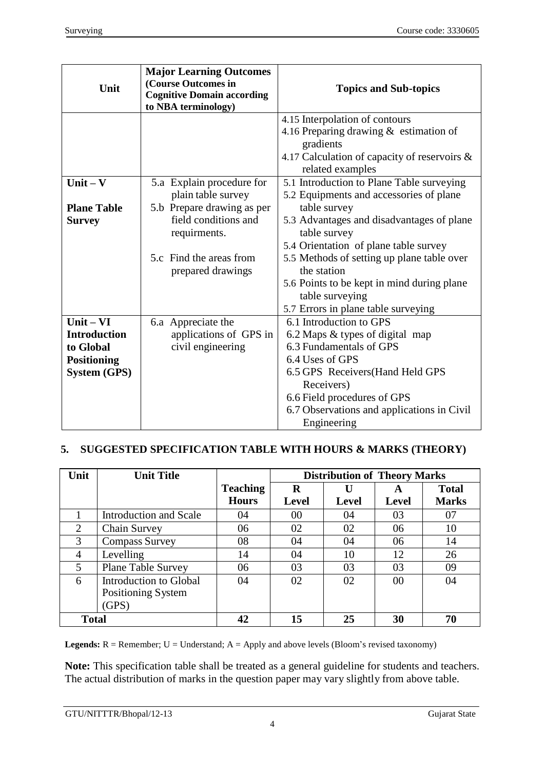| Unit                                                                                         | <b>Major Learning Outcomes</b><br>(Course Outcomes in<br><b>Cognitive Domain according</b><br>to NBA terminology)                                                     | <b>Topics and Sub-topics</b>                                                                                                                                                                                                                                                                                                                                                    |  |
|----------------------------------------------------------------------------------------------|-----------------------------------------------------------------------------------------------------------------------------------------------------------------------|---------------------------------------------------------------------------------------------------------------------------------------------------------------------------------------------------------------------------------------------------------------------------------------------------------------------------------------------------------------------------------|--|
|                                                                                              |                                                                                                                                                                       | 4.15 Interpolation of contours<br>4.16 Preparing drawing & estimation of<br>gradients<br>4.17 Calculation of capacity of reservoirs &<br>related examples                                                                                                                                                                                                                       |  |
| Unit $-$ V<br><b>Plane Table</b><br><b>Survey</b>                                            | 5.a Explain procedure for<br>plain table survey<br>5.b Prepare drawing as per<br>field conditions and<br>requirments.<br>5.c Find the areas from<br>prepared drawings | 5.1 Introduction to Plane Table surveying<br>5.2 Equipments and accessories of plane<br>table survey<br>5.3 Advantages and disadvantages of plane<br>table survey<br>5.4 Orientation of plane table survey<br>5.5 Methods of setting up plane table over<br>the station<br>5.6 Points to be kept in mind during plane<br>table surveying<br>5.7 Errors in plane table surveying |  |
| $Unit - VI$<br><b>Introduction</b><br>to Global<br><b>Positioning</b><br><b>System (GPS)</b> | 6.a Appreciate the<br>applications of GPS in<br>civil engineering                                                                                                     | 6.1 Introduction to GPS<br>6.2 Maps & types of digital map<br>6.3 Fundamentals of GPS<br>6.4 Uses of GPS<br>6.5 GPS Receivers (Hand Held GPS<br>Receivers)<br>6.6 Field procedures of GPS<br>6.7 Observations and applications in Civil<br>Engineering                                                                                                                          |  |

# **5. SUGGESTED SPECIFICATION TABLE WITH HOURS & MARKS (THEORY)**

| Unit           | <b>Unit Title</b>         |                 | <b>Distribution of Theory Marks</b> |              |       |              |
|----------------|---------------------------|-----------------|-------------------------------------|--------------|-------|--------------|
|                |                           | <b>Teaching</b> | R                                   |              | A     | <b>Total</b> |
|                |                           | <b>Hours</b>    | <b>Level</b>                        | <b>Level</b> | Level | <b>Marks</b> |
|                | Introduction and Scale    | 04              | 00                                  | 04           | 03    | 07           |
| $\overline{2}$ | Chain Survey              | 06              | 02                                  | 02           | 06    | 10           |
| 3              | <b>Compass Survey</b>     | 08              | 04                                  | 04           | 06    | 14           |
| 4              | Levelling                 | 14              | 04                                  | 10           | 12    | 26           |
| 5              | <b>Plane Table Survey</b> | 06              | 03                                  | 03           | 03    | 09           |
| 6              | Introduction to Global    | 04              | 02                                  | 02           | 00    | 04           |
|                | Positioning System        |                 |                                     |              |       |              |
|                | (GPS)                     |                 |                                     |              |       |              |
| <b>Total</b>   |                           | 42              | 15                                  | 25           | 30    | 70           |

Legends: R = Remember; U = Understand; A = Apply and above levels (Bloom's revised taxonomy)

**Note:** This specification table shall be treated as a general guideline for students and teachers. The actual distribution of marks in the question paper may vary slightly from above table.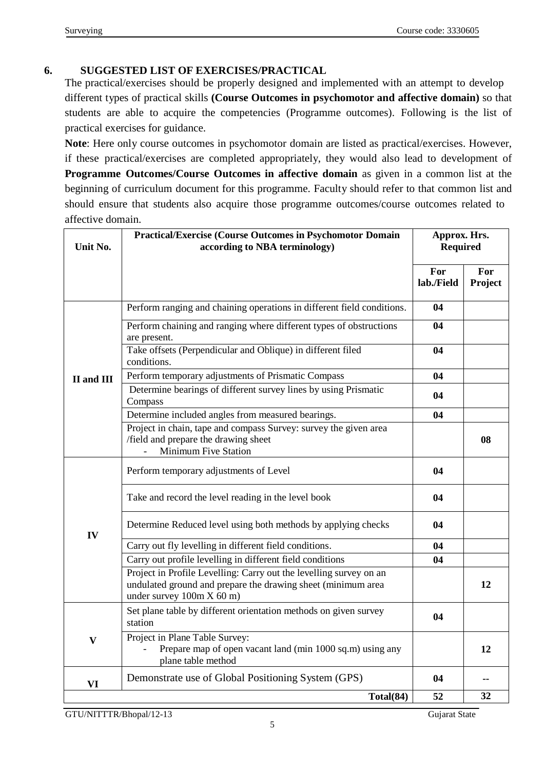## **6. SUGGESTED LIST OF EXERCISES/PRACTICAL**

The practical/exercises should be properly designed and implemented with an attempt to develop different types of practical skills **(Course Outcomes in psychomotor and affective domain)** so that students are able to acquire the competencies (Programme outcomes). Following is the list of practical exercises for guidance.

**Note**: Here only course outcomes in psychomotor domain are listed as practical/exercises. However, if these practical/exercises are completed appropriately, they would also lead to development of **Programme Outcomes/Course Outcomes in affective domain** as given in a common list at the beginning of curriculum document for this programme. Faculty should refer to that common list and should ensure that students also acquire those programme outcomes/course outcomes related to affective domain.

| Unit No.                 | <b>Practical/Exercise (Course Outcomes in Psychomotor Domain</b><br>according to NBA terminology)                                                               |                   | Approx. Hrs.<br><b>Required</b> |  |
|--------------------------|-----------------------------------------------------------------------------------------------------------------------------------------------------------------|-------------------|---------------------------------|--|
|                          |                                                                                                                                                                 | For<br>lab./Field | For<br>Project                  |  |
|                          | Perform ranging and chaining operations in different field conditions.                                                                                          | 04                |                                 |  |
|                          | Perform chaining and ranging where different types of obstructions<br>are present.                                                                              | 04                |                                 |  |
|                          | Take offsets (Perpendicular and Oblique) in different filed<br>conditions.                                                                                      | 04                |                                 |  |
| <b>II</b> and <b>III</b> | Perform temporary adjustments of Prismatic Compass                                                                                                              | 04                |                                 |  |
|                          | Determine bearings of different survey lines by using Prismatic<br>Compass                                                                                      | 04                |                                 |  |
|                          | Determine included angles from measured bearings.                                                                                                               | 04                |                                 |  |
|                          | Project in chain, tape and compass Survey: survey the given area<br>/field and prepare the drawing sheet<br><b>Minimum Five Station</b>                         |                   | 08                              |  |
|                          | Perform temporary adjustments of Level                                                                                                                          | 04                |                                 |  |
|                          | Take and record the level reading in the level book                                                                                                             | 04                |                                 |  |
| IV                       | Determine Reduced level using both methods by applying checks                                                                                                   | 04                |                                 |  |
|                          | Carry out fly levelling in different field conditions.                                                                                                          | 04                |                                 |  |
|                          | Carry out profile levelling in different field conditions                                                                                                       | 04                |                                 |  |
|                          | Project in Profile Levelling: Carry out the levelling survey on an<br>undulated ground and prepare the drawing sheet (minimum area<br>under survey 100m X 60 m) |                   | 12                              |  |
|                          | Set plane table by different orientation methods on given survey<br>station                                                                                     | 04                |                                 |  |
| $\mathbf{V}$             | Project in Plane Table Survey:<br>Prepare map of open vacant land (min 1000 sq.m) using any<br>plane table method                                               |                   | 12                              |  |
| VI                       | Demonstrate use of Global Positioning System (GPS)                                                                                                              | 04                |                                 |  |
|                          | Total(84)                                                                                                                                                       | 52                | 32                              |  |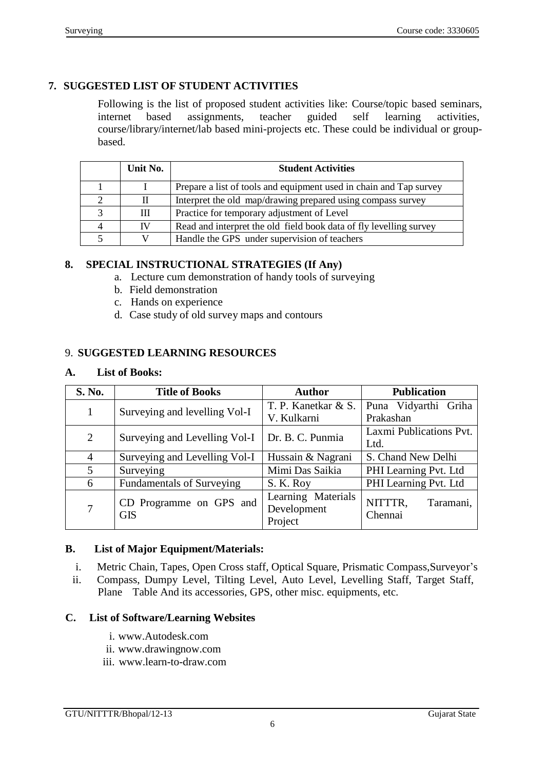# **7. SUGGESTED LIST OF STUDENT ACTIVITIES**

Following is the list of proposed student activities like: Course/topic based seminars, internet based assignments, teacher guided self learning activities, internet based assignments, teacher guided self learning activities, course/library/internet/lab based mini-projects etc. These could be individual or groupbased.

| Unit No. | <b>Student Activities</b>                                          |  |
|----------|--------------------------------------------------------------------|--|
|          | Prepare a list of tools and equipment used in chain and Tap survey |  |
| П        | Interpret the old map/drawing prepared using compass survey        |  |
| Ш        | Practice for temporary adjustment of Level                         |  |
| IV       | Read and interpret the old field book data of fly levelling survey |  |
|          | Handle the GPS under supervision of teachers                       |  |

### **8. SPECIAL INSTRUCTIONAL STRATEGIES (If Any)**

- a. Lecture cum demonstration of handy tools of surveying
- b. Field demonstration
- c. Hands on experience
- d. Case study of old survey maps and contours

### 9. **SUGGESTED LEARNING RESOURCES**

### **A. List of Books:**

| S. No.         | <b>Title of Books</b>                 | <b>Author</b>                                | <b>Publication</b>              |  |  |
|----------------|---------------------------------------|----------------------------------------------|---------------------------------|--|--|
| 1              | Surveying and levelling Vol-I         | T. P. Kanetkar & S.                          | Puna Vidyarthi Griha            |  |  |
|                |                                       | V. Kulkarni                                  | Prakashan                       |  |  |
| $\overline{2}$ | Surveying and Levelling Vol-I         | Dr. B. C. Punmia                             | Laxmi Publications Pvt.         |  |  |
|                |                                       |                                              | Ltd.                            |  |  |
| $\overline{4}$ | Surveying and Levelling Vol-I         | Hussain & Nagrani                            | S. Chand New Delhi              |  |  |
| 5              | Surveying                             | Mimi Das Saikia                              | PHI Learning Pvt. Ltd           |  |  |
| 6              | <b>Fundamentals of Surveying</b>      | S. K. Roy                                    | PHI Learning Pvt. Ltd           |  |  |
| 7              | CD Programme on GPS and<br><b>GIS</b> | Learning Materials<br>Development<br>Project | NITTTR,<br>Taramani,<br>Chennai |  |  |

### **B. List of Major Equipment/Materials:**

- i. Metric Chain, Tapes, Open Cross staff, Optical Square, Prismatic Compass,Surveyor's
- ii. Compass, Dumpy Level, Tilting Level, Auto Level, Levelling Staff, Target Staff, Plane Table And its accessories, GPS, other misc. equipments, etc.

### **C. List of Software/Learning Websites**

- i. [www.Autodesk.com](http://www.autodesk.com/)
- ii. [www.drawingnow.com](http://www.drawingnow.com/)
- iii. [www.learn-to-draw.com](http://www.learn-to-draw.com/)